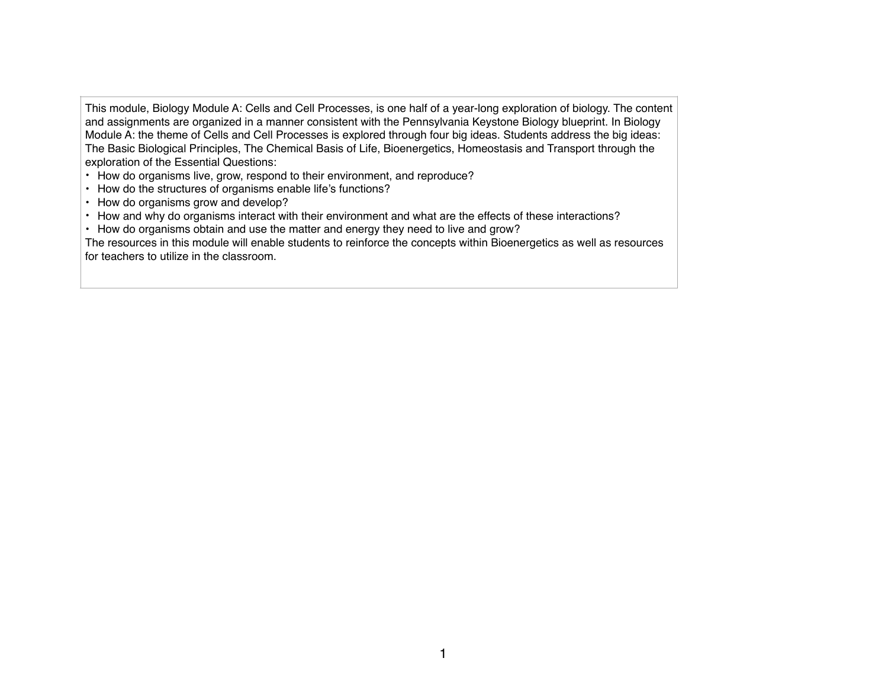This module, Biology Module A: Cells and Cell Processes, is one half of a year-long exploration of biology. The content and assignments are organized in a manner consistent with the Pennsylvania Keystone Biology blueprint. In Biology Module A: the theme of Cells and Cell Processes is explored through four big ideas. Students address the big ideas: The Basic Biological Principles, The Chemical Basis of Life, Bioenergetics, Homeostasis and Transport through the exploration of the Essential Questions:

- How do organisms live, grow, respond to their environment, and reproduce?
- How do the structures of organisms enable life's functions?
- How do organisms grow and develop?
- How and why do organisms interact with their environment and what are the effects of these interactions?
- How do organisms obtain and use the matter and energy they need to live and grow?

The resources in this module will enable students to reinforce the concepts within Bioenergetics as well as resources for teachers to utilize in the classroom.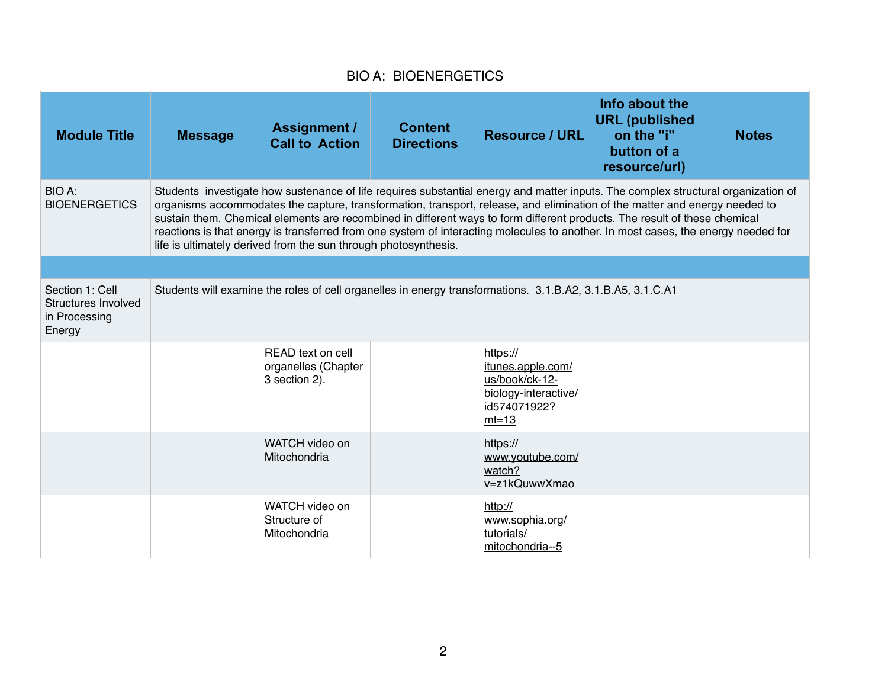## BIO A: BIOENERGETICS

| <b>Module Title</b>                                               | <b>Message</b>                                                                                                                                                                                                                                                                                                                                                                                                                                                                                                                                                                                       | <b>Assignment /</b><br><b>Call to Action</b>                                                               | <b>Content</b><br><b>Directions</b> | <b>Resource / URL</b>                                                                              | Info about the<br><b>URL (published)</b><br>on the "i"<br>button of a<br>resource/url) | <b>Notes</b> |  |
|-------------------------------------------------------------------|------------------------------------------------------------------------------------------------------------------------------------------------------------------------------------------------------------------------------------------------------------------------------------------------------------------------------------------------------------------------------------------------------------------------------------------------------------------------------------------------------------------------------------------------------------------------------------------------------|------------------------------------------------------------------------------------------------------------|-------------------------------------|----------------------------------------------------------------------------------------------------|----------------------------------------------------------------------------------------|--------------|--|
| BIO A:<br><b>BIOENERGETICS</b>                                    | Students investigate how sustenance of life requires substantial energy and matter inputs. The complex structural organization of<br>organisms accommodates the capture, transformation, transport, release, and elimination of the matter and energy needed to<br>sustain them. Chemical elements are recombined in different ways to form different products. The result of these chemical<br>reactions is that energy is transferred from one system of interacting molecules to another. In most cases, the energy needed for<br>life is ultimately derived from the sun through photosynthesis. |                                                                                                            |                                     |                                                                                                    |                                                                                        |              |  |
|                                                                   |                                                                                                                                                                                                                                                                                                                                                                                                                                                                                                                                                                                                      |                                                                                                            |                                     |                                                                                                    |                                                                                        |              |  |
| Section 1: Cell<br>Structures Involved<br>in Processing<br>Energy |                                                                                                                                                                                                                                                                                                                                                                                                                                                                                                                                                                                                      | Students will examine the roles of cell organelles in energy transformations. 3.1.B.A2, 3.1.B.A5, 3.1.C.A1 |                                     |                                                                                                    |                                                                                        |              |  |
|                                                                   |                                                                                                                                                                                                                                                                                                                                                                                                                                                                                                                                                                                                      | READ text on cell<br>organelles (Chapter<br>3 section 2).                                                  |                                     | https://<br>itunes.apple.com/<br>us/book/ck-12-<br>biology-interactive/<br>id574071922?<br>$mt=13$ |                                                                                        |              |  |
|                                                                   |                                                                                                                                                                                                                                                                                                                                                                                                                                                                                                                                                                                                      | WATCH video on<br>Mitochondria                                                                             |                                     | https://<br>www.youtube.com/<br>watch?<br>v=z1kQuwwXmao                                            |                                                                                        |              |  |
|                                                                   |                                                                                                                                                                                                                                                                                                                                                                                                                                                                                                                                                                                                      | WATCH video on<br>Structure of<br>Mitochondria                                                             |                                     | http://<br>www.sophia.org/<br>tutorials/<br>mitochondria--5                                        |                                                                                        |              |  |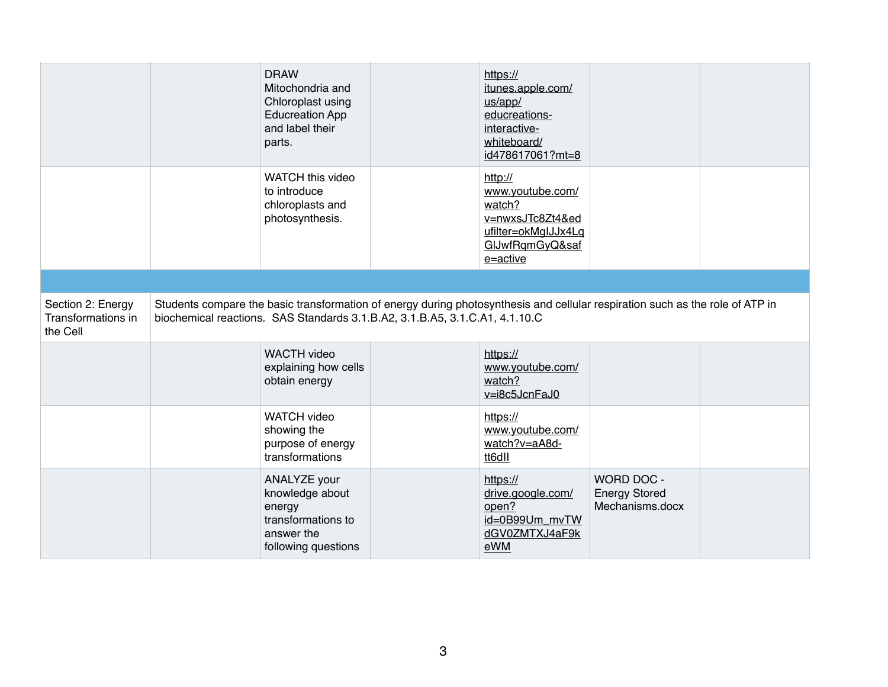|                                                     | <b>DRAW</b><br>Mitochondria and<br>Chloroplast using<br><b>Educreation App</b><br>and label their<br>parts.                                                                                                  | https://<br>itunes.apple.com/<br>us/app/<br>educreations-<br>interactive-<br>whiteboard/<br>id478617061?mt=8        |                                                       |  |
|-----------------------------------------------------|--------------------------------------------------------------------------------------------------------------------------------------------------------------------------------------------------------------|---------------------------------------------------------------------------------------------------------------------|-------------------------------------------------------|--|
|                                                     | WATCH this video<br>to introduce<br>chloroplasts and<br>photosynthesis.                                                                                                                                      | http://<br>www.youtube.com/<br>watch?<br>v=nwxsJTc8Zt4&ed<br>ufilter=okMglJJx4Lq<br>GIJwfRqmGyQ&saf<br>$e = active$ |                                                       |  |
|                                                     |                                                                                                                                                                                                              |                                                                                                                     |                                                       |  |
| Section 2: Energy<br>Transformations in<br>the Cell | Students compare the basic transformation of energy during photosynthesis and cellular respiration such as the role of ATP in<br>biochemical reactions. SAS Standards 3.1.B.A2, 3.1.B.A5, 3.1.C.A1, 4.1.10.C |                                                                                                                     |                                                       |  |
|                                                     | <b>WACTH</b> video<br>explaining how cells<br>obtain energy                                                                                                                                                  | https://<br>www.youtube.com/<br>watch?<br>$v = i8c5JcnFaJ0$                                                         |                                                       |  |
|                                                     | <b>WATCH video</b><br>showing the<br>purpose of energy<br>transformations                                                                                                                                    | https://<br>www.youtube.com/<br>watch?v=aA8d-<br>tt6dll                                                             |                                                       |  |
|                                                     | ANALYZE your<br>knowledge about<br>energy<br>transformations to<br>answer the<br>following questions                                                                                                         | https://<br>drive.google.com/<br>open?<br>id=0B99Um mvTW<br>dGV0ZMTXJ4aF9k<br>eWM                                   | WORD DOC -<br><b>Energy Stored</b><br>Mechanisms.docx |  |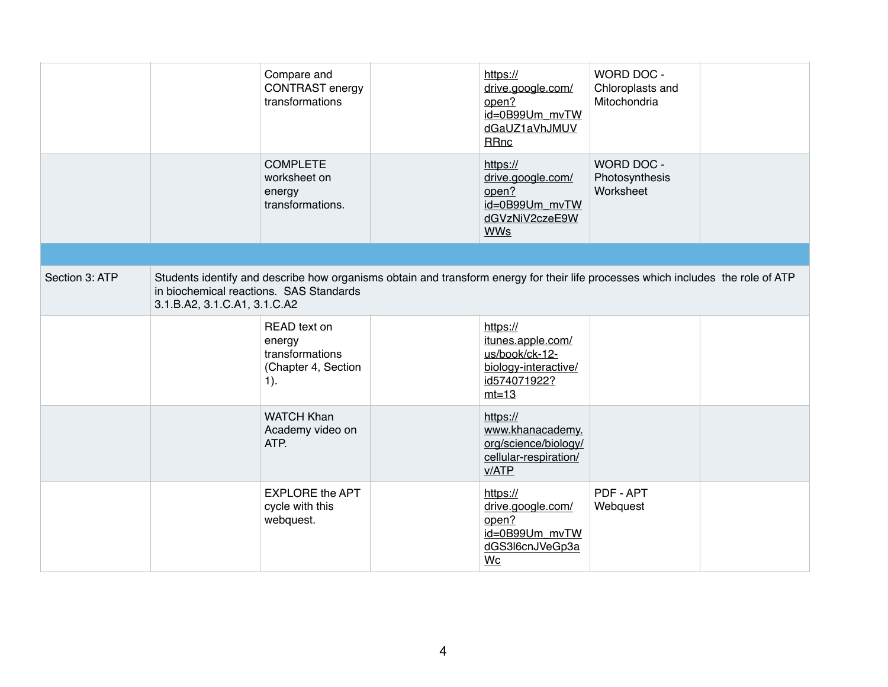|                |                                                                         | Compare and<br><b>CONTRAST</b> energy<br>transformations                                                                         | https://<br>drive.google.com/<br>open?<br>id=0B99Um_mvTW<br>dGaUZ1aVhJMUV<br><b>RRnc</b>           | WORD DOC -<br>Chloroplasts and<br>Mitochondria |  |
|----------------|-------------------------------------------------------------------------|----------------------------------------------------------------------------------------------------------------------------------|----------------------------------------------------------------------------------------------------|------------------------------------------------|--|
|                |                                                                         | <b>COMPLETE</b><br>worksheet on<br>energy<br>transformations.                                                                    | https://<br>drive.google.com/<br>open?<br>id=0B99Um mvTW<br>dGVzNiV2czeE9W<br><b>WWs</b>           | WORD DOC -<br>Photosynthesis<br>Worksheet      |  |
|                |                                                                         |                                                                                                                                  |                                                                                                    |                                                |  |
| Section 3: ATP | in biochemical reactions. SAS Standards<br>3.1.B.A2, 3.1.C.A1, 3.1.C.A2 | Students identify and describe how organisms obtain and transform energy for their life processes which includes the role of ATP |                                                                                                    |                                                |  |
|                |                                                                         | READ text on<br>energy<br>transformations<br>(Chapter 4, Section<br>$1$ ).                                                       | https://<br>itunes.apple.com/<br>us/book/ck-12-<br>biology-interactive/<br>id574071922?<br>$mt=13$ |                                                |  |
|                |                                                                         | <b>WATCH Khan</b><br>Academy video on<br>ATP.                                                                                    | https://<br>www.khanacademy.<br>org/science/biology/<br>cellular-respiration/<br>v/ATP             |                                                |  |
|                |                                                                         | <b>EXPLORE the APT</b><br>cycle with this<br>webquest.                                                                           | https://<br>drive.google.com/<br>open?<br>id=0B99Um mvTW<br>dGS3l6cnJVeGp3a<br>Wc                  | PDF - APT<br>Webquest                          |  |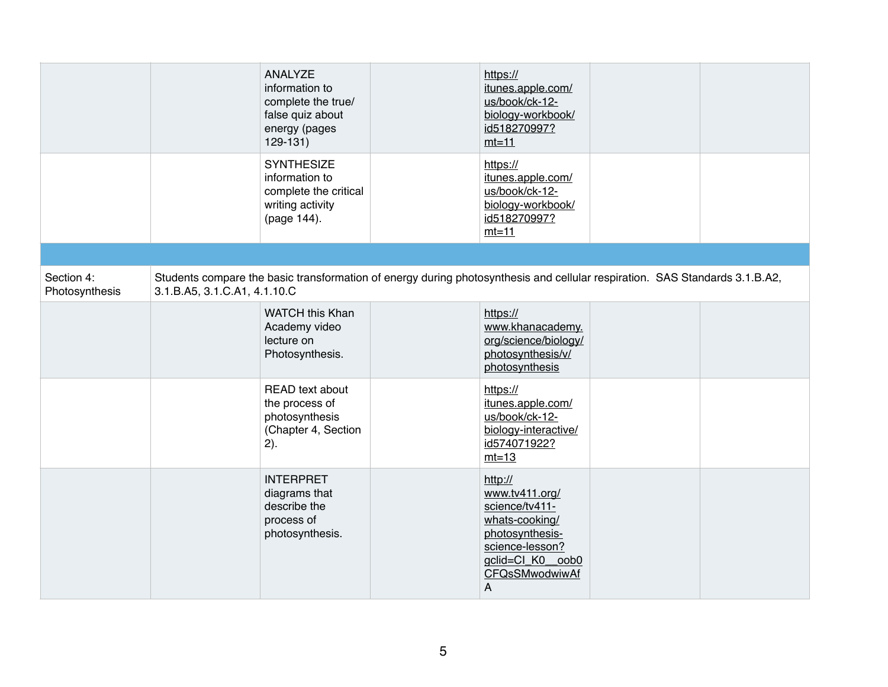|                              |                              | ANALYZE<br>information to<br>complete the true/<br>false quiz about<br>energy (pages<br>$129-131$                           | https://<br>itunes.apple.com/<br>us/book/ck-12-<br>biology-workbook/<br>id518270997?<br>$mt=11$                                                |  |
|------------------------------|------------------------------|-----------------------------------------------------------------------------------------------------------------------------|------------------------------------------------------------------------------------------------------------------------------------------------|--|
|                              |                              | <b>SYNTHESIZE</b><br>information to<br>complete the critical<br>writing activity<br>(page 144).                             | https://<br>itunes.apple.com/<br>us/book/ck-12-<br>biology-workbook/<br>id518270997?<br>$mt=11$                                                |  |
|                              |                              |                                                                                                                             |                                                                                                                                                |  |
| Section 4:<br>Photosynthesis | 3.1.B.A5, 3.1.C.A1, 4.1.10.C | Students compare the basic transformation of energy during photosynthesis and cellular respiration. SAS Standards 3.1.B.A2, |                                                                                                                                                |  |
|                              |                              | <b>WATCH this Khan</b><br>Academy video<br>lecture on<br>Photosynthesis.                                                    | https://<br>www.khanacademy.<br>org/science/biology/<br>photosynthesis/v/<br>photosynthesis                                                    |  |
|                              |                              | READ text about<br>the process of<br>photosynthesis<br>(Chapter 4, Section<br>2).                                           | https://<br>itunes.apple.com/<br>us/book/ck-12-<br>biology-interactive/<br>id574071922?<br>$mt=13$                                             |  |
|                              |                              | <b>INTERPRET</b><br>diagrams that<br>describe the<br>process of<br>photosynthesis.                                          | http://<br>www.tv411.org/<br>science/tv411-<br>whats-cooking/<br>photosynthesis-<br>science-lesson?<br>gclid=Cl_K0_oob0<br>CFQsSMwodwiwAf<br>Α |  |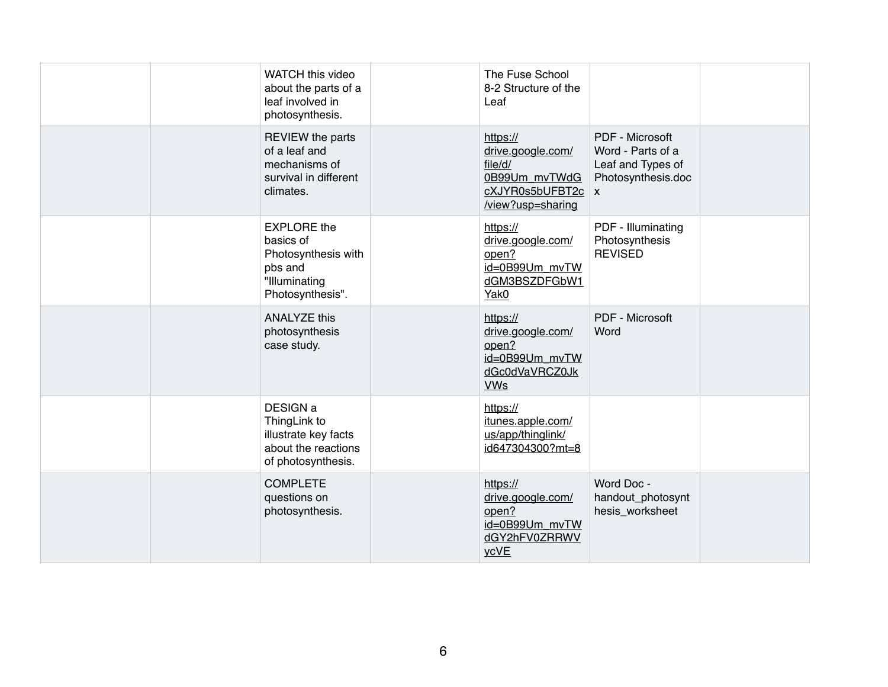|  | WATCH this video<br>about the parts of a<br>leaf involved in<br>photosynthesis.                        | The Fuse School<br>8-2 Structure of the<br>Leaf                                                       |                                                                                 |  |
|--|--------------------------------------------------------------------------------------------------------|-------------------------------------------------------------------------------------------------------|---------------------------------------------------------------------------------|--|
|  | <b>REVIEW</b> the parts<br>of a leaf and<br>mechanisms of<br>survival in different<br>climates.        | https://<br>drive.google.com/<br>file/d/<br>0B99Um mvTWdG<br>cXJYR0s5bUFBT2c   x<br>/view?usp=sharing | PDF - Microsoft<br>Word - Parts of a<br>Leaf and Types of<br>Photosynthesis.doc |  |
|  | <b>EXPLORE</b> the<br>basics of<br>Photosynthesis with<br>pbs and<br>"Illuminating<br>Photosynthesis". | https://<br>drive.google.com/<br>open?<br>id=0B99Um_mvTW<br>dGM3BSZDFGbW1<br>Yak0                     | PDF - Illuminating<br>Photosynthesis<br><b>REVISED</b>                          |  |
|  | <b>ANALYZE this</b><br>photosynthesis<br>case study.                                                   | https://<br>drive.google.com/<br>open?<br>id=0B99Um_mvTW<br>dGc0dVaVRCZ0Jk<br><b>VWs</b>              | PDF - Microsoft<br>Word                                                         |  |
|  | DESIGN a<br>ThingLink to<br>illustrate key facts<br>about the reactions<br>of photosynthesis.          | https://<br>itunes.apple.com/<br>us/app/thinglink/<br>id647304300?mt=8                                |                                                                                 |  |
|  | <b>COMPLETE</b><br>questions on<br>photosynthesis.                                                     | https://<br>drive.google.com/<br>open?<br>id=0B99Um mvTW<br>dGY2hFV0ZRRWV<br>ycVE                     | Word Doc -<br>handout_photosynt<br>hesis_worksheet                              |  |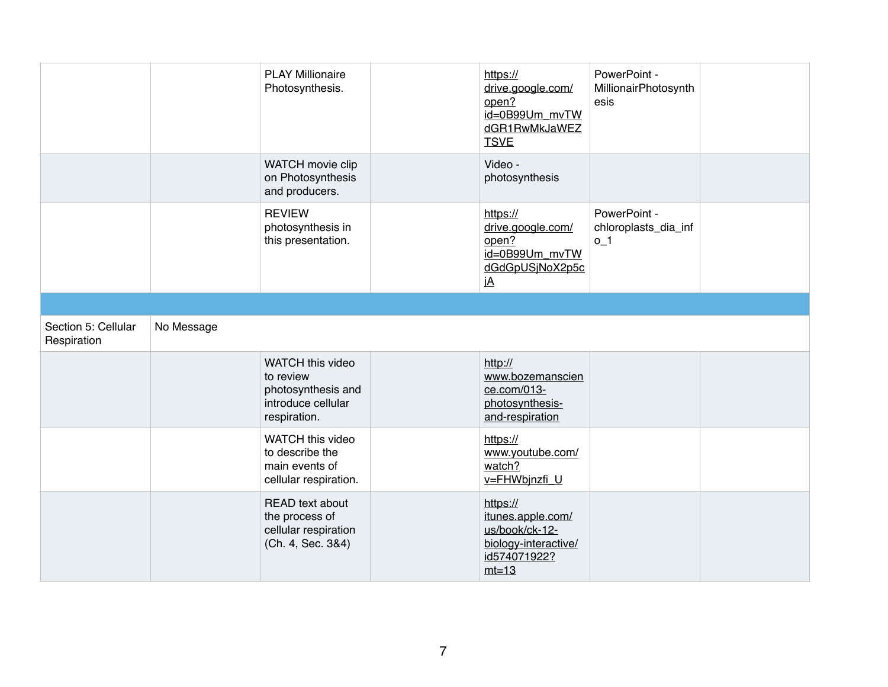|                                    |            | <b>PLAY Millionaire</b><br>Photosynthesis.                                                | https://<br>drive.google.com/<br>open?<br>id=0B99Um_mvTW<br>dGR1RwMkJaWEZ<br><b>TSVE</b> | PowerPoint -<br>MillionairPhotosynth<br>esis  |  |
|------------------------------------|------------|-------------------------------------------------------------------------------------------|------------------------------------------------------------------------------------------|-----------------------------------------------|--|
|                                    |            | WATCH movie clip<br>on Photosynthesis<br>and producers.                                   | Video -<br>photosynthesis                                                                |                                               |  |
|                                    |            | <b>REVIEW</b><br>photosynthesis in<br>this presentation.                                  | https://<br>drive.google.com/<br>open?<br>id=0B99Um_mvTW<br>dGdGpUSjNoX2p5c<br>jA        | PowerPoint -<br>chloroplasts_dia_inf<br>$0-1$ |  |
|                                    |            |                                                                                           |                                                                                          |                                               |  |
| Section 5: Cellular<br>Respiration | No Message |                                                                                           |                                                                                          |                                               |  |
|                                    |            |                                                                                           |                                                                                          |                                               |  |
|                                    |            | WATCH this video<br>to review<br>photosynthesis and<br>introduce cellular<br>respiration. | http://<br>www.bozemanscien<br>ce.com/013-<br>photosynthesis-<br>and-respiration         |                                               |  |
|                                    |            | WATCH this video<br>to describe the<br>main events of<br>cellular respiration.            | https://<br>www.youtube.com/<br>watch?<br>v=FHWbjnzfi_U                                  |                                               |  |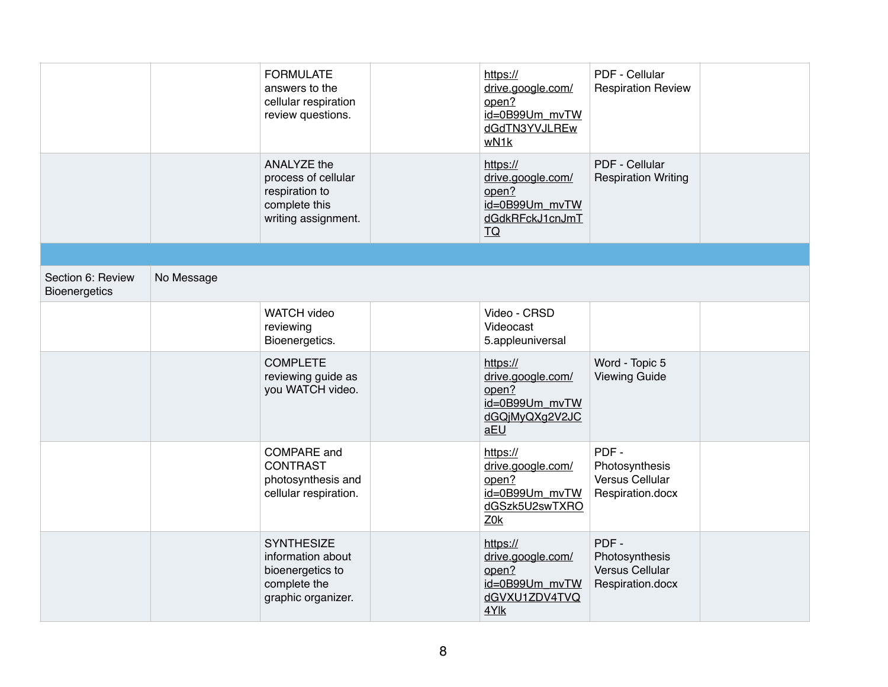|                                           |            | <b>FORMULATE</b><br>answers to the<br>cellular respiration<br>review questions.                  | https://<br>drive.google.com/<br>open?<br>id=0B99Um_mvTW<br>dGdTN3YVJLREw<br>wN1k               | PDF - Cellular<br><b>Respiration Review</b>                   |  |
|-------------------------------------------|------------|--------------------------------------------------------------------------------------------------|-------------------------------------------------------------------------------------------------|---------------------------------------------------------------|--|
|                                           |            | ANALYZE the<br>process of cellular<br>respiration to<br>complete this<br>writing assignment.     | https://<br>drive.google.com/<br>open?<br>id=0B99Um mvTW<br>dGdkRFckJ1cnJmT<br>$\underline{TO}$ | PDF - Cellular<br><b>Respiration Writing</b>                  |  |
|                                           |            |                                                                                                  |                                                                                                 |                                                               |  |
| Section 6: Review<br><b>Bioenergetics</b> | No Message |                                                                                                  |                                                                                                 |                                                               |  |
|                                           |            | <b>WATCH video</b><br>reviewing<br>Bioenergetics.                                                | Video - CRSD<br>Videocast<br>5.appleuniversal                                                   |                                                               |  |
|                                           |            | <b>COMPLETE</b><br>reviewing guide as<br>you WATCH video.                                        | https://<br>drive.google.com/<br>open?<br>id=0B99Um mvTW<br>dGQjMyQXg2V2JC<br>aEU               | Word - Topic 5<br><b>Viewing Guide</b>                        |  |
|                                           |            | <b>COMPARE</b> and<br><b>CONTRAST</b><br>photosynthesis and<br>cellular respiration.             | https://<br>drive.google.com/<br>open?<br>id=0B99Um_mvTW<br>dGSzk5U2swTXRO<br>Z0k               | PDF-<br>Photosynthesis<br>Versus Cellular<br>Respiration.docx |  |
|                                           |            | <b>SYNTHESIZE</b><br>information about<br>bioenergetics to<br>complete the<br>graphic organizer. | https://<br>drive.google.com/<br>open?<br>id=0B99Um_mvTW<br>dGVXU1ZDV4TVQ<br>4Ylk               | PDF-<br>Photosynthesis<br>Versus Cellular<br>Respiration.docx |  |